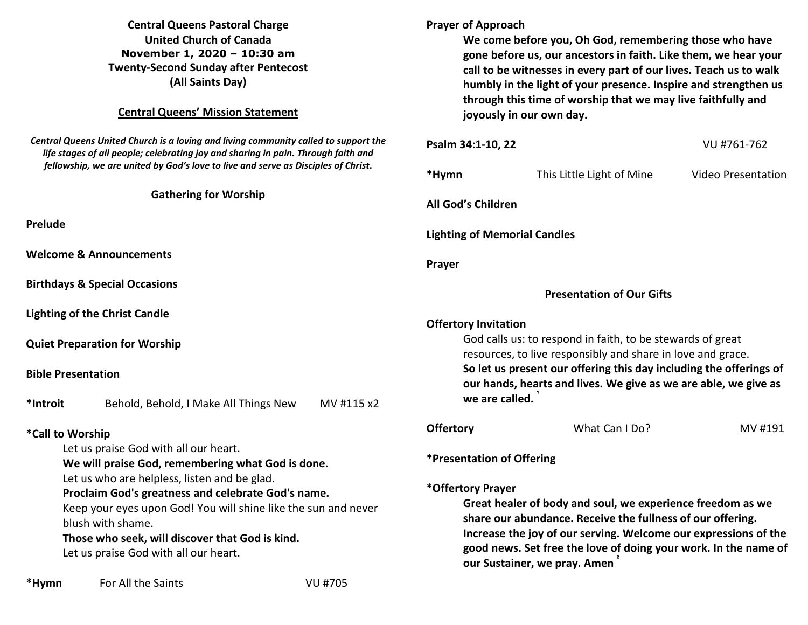### **Central Queens Pastoral Charge United Church of Canada November 1, 2020 – 10:30 am Twenty-Second Sunday after Pentecost (All Saints Day)**

#### **Central Queens' Mission Statement**

*Central Queens United Church is a loving and living community called to support the life stages of all people; celebrating joy and sharing in pain. Through faith and fellowship, we are united by God's love to live and serve as Disciples of Christ***.** 

#### **Gathering for Worship**

**Prelude** 

**Welcome & Announcements** 

**Birthdays & Special Occasions** 

**Lighting of the Christ Candle** 

**Quiet Preparation for Worship** 

#### **Bible Presentation**

**\*Introit** Behold, Behold, I Make All Things New MV #115 x2

### **\*Call to Worship**

Let us praise God with all our heart.

 **We will praise God, remembering what God is done.** Let us who are helpless, listen and be glad.

## **Proclaim God's greatness and celebrate God's name.**

Keep your eyes upon God! You will shine like the sun and never blush with shame.

 **Those who seek, will discover that God is kind.** Let us praise God with all our heart.

**Prayer of Approach We come before you, Oh God, remembering those who have gone before us, our ancestors in faith. Like them, we hear your call to be witnesses in every part of our lives. Teach us to walk humbly in the light of your presence. Inspire and strengthen us through this time of worship that we may live faithfully and joyously in our own day. Psalm 34:1-10, 22** VU #761-762 **\*Hymn** This Little Light of Mine Video Presentation **All God's Children Lighting of Memorial Candles Prayer Presentation of Our Gifts Offertory Invitation** God calls us: to respond in faith, to be stewards of great resources, to live responsibly and share in love and grace.  **So let us present our offering this day including the offerings of our hands, hearts and lives. We give as we are able, we give as we are called.**  $\dot{}$ **Offertory** What Can I Do? MV #191

**\*Presentation of Offering** 

### **\*Offertory Prayer**

**Great healer of body and soul, we experience freedom as we share our abundance. Receive the fullness of our offering. Increase the joy of our serving. Welcome our expressions of the good news. Set free the love of doing your work. In the name of our Sustainer, we pray. Amen ²**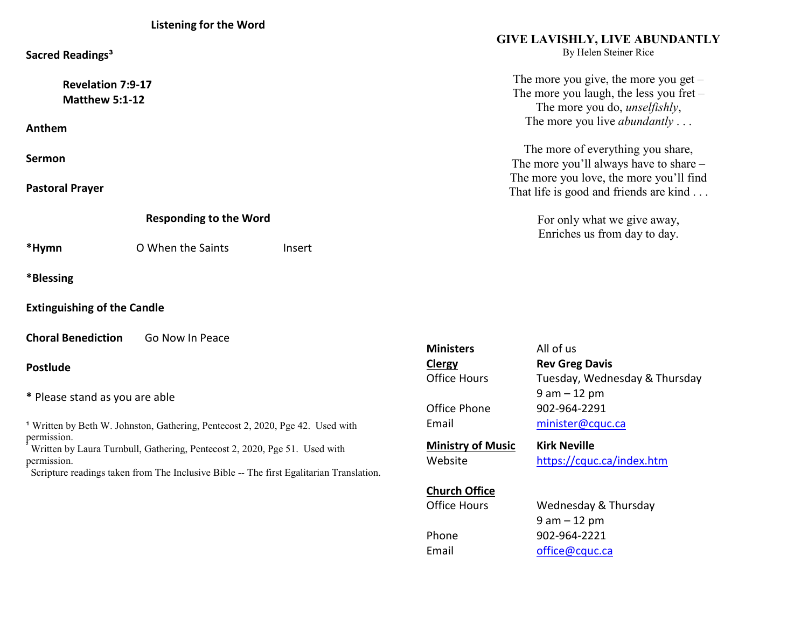| Sacred Readings <sup>3</sup>                      |                   |        | <b>GIVE LAVISHLY, LIVE ABUNDANTLY</b><br>By Helen Steiner Rice                                                                                                       |
|---------------------------------------------------|-------------------|--------|----------------------------------------------------------------------------------------------------------------------------------------------------------------------|
| <b>Revelation 7:9-17</b><br><b>Matthew 5:1-12</b> |                   |        | The more you give, the more you get $-$<br>The more you laugh, the less you fret $-$<br>The more you do, <i>unselfishly</i> ,<br>The more you live <i>abundantly</i> |
| Anthem                                            |                   |        |                                                                                                                                                                      |
| Sermon                                            |                   |        | The more of everything you share,<br>The more you'll always have to share –                                                                                          |
| <b>Pastoral Prayer</b>                            |                   |        | The more you love, the more you'll find<br>That life is good and friends are kind                                                                                    |
| <b>Responding to the Word</b>                     |                   |        | For only what we give away,<br>Enriches us from day to day.                                                                                                          |
| *Hymn                                             | O When the Saints | Insert |                                                                                                                                                                      |
| *Blessing                                         |                   |        |                                                                                                                                                                      |
| <b>Extinguishing of the Candle</b>                |                   |        |                                                                                                                                                                      |

**Choral Benediction Go Now In Peace** 

# **Postlude**

**\*** Please stand as you are able

<sup>1</sup> Written by Beth W. Johnston, Gathering, Pentecost 2, 2020, Pge 42. Used with permission.

 Written by Laura Turnbull, Gathering, Pentecost 2, 2020, Pge 51. Used with permission.

Scripture readings taken from The Inclusive Bible -- The first Egalitarian Translation.

| <b>Ministers</b><br>Clergy          | All of us<br><b>Rev Greg Davis</b>               |  |  |  |
|-------------------------------------|--------------------------------------------------|--|--|--|
| <b>Office Hours</b>                 | Tuesday, Wednesday & Thursday                    |  |  |  |
| Office Phone                        | 9 am – 12 pm<br>902-964-2291                     |  |  |  |
| Email                               | minister@cquc.ca                                 |  |  |  |
| <b>Ministry of Music</b><br>Website | <b>Kirk Neville</b><br>https://cquc.ca/index.htm |  |  |  |
| <b>Church Office</b>                |                                                  |  |  |  |
| <b>Office Hours</b>                 | Wednesday & Thursday                             |  |  |  |
|                                     | $9$ am $-12$ pm                                  |  |  |  |
| Phone                               | 902-964-2221                                     |  |  |  |
| Email                               | office@cquc.ca                                   |  |  |  |